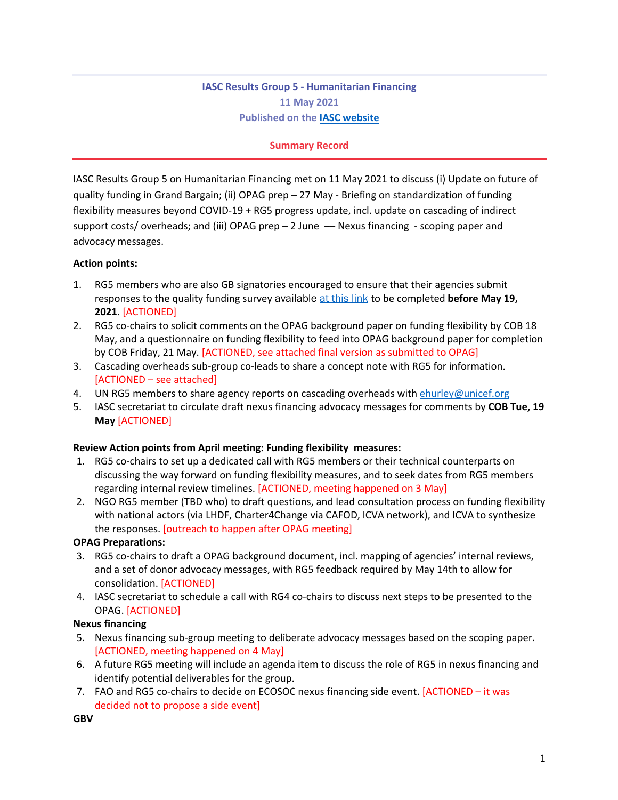# **IASC Results Group 5 - Humanitarian Financing 11 May 2021 Published on the IASC website**

### **Summary Record**

IASC Results Group 5 on Humanitarian Financing met on 11 May 2021 to discuss (i) Update on future of quality funding in Grand Bargain; (ii) OPAG prep – 27 May - Briefing on standardization of funding flexibility measures beyond COVID-19 + RG5 progress update, incl. update on cascading of indirect support costs/ overheads; and (iii) OPAG prep  $-2$  June  $-$  Nexus financing  $-$  scoping paper and advocacy messages.

#### **Action points:**

- 1. RG5 members who are also GB signatories encouraged to ensure that their agencies submit responses to the quality funding survey available at this link to be completed **before May 19, 2021**. [ACTIONED]
- 2. RG5 co-chairs to solicit comments on the OPAG background paper on funding flexibility by COB 18 May, and a questionnaire on funding flexibility to feed into OPAG background paper for completion by COB Friday, 21 May. [ACTIONED, see attached final version as submitted to OPAG]
- 3. Cascading overheads sub-group co-leads to share a concept note with RG5 for information. [ACTIONED – see attached]
- 4. UN RG5 members to share agency reports on cascading overheads with ehurley@unicef.org
- 5. IASC secretariat to circulate draft nexus financing advocacy messages for comments by **COB Tue, 19 May** [ACTIONED]

#### **Review Action points from April meeting: Funding flexibility measures:**

- 1. RG5 co-chairs to set up a dedicated call with RG5 members or their technical counterparts on discussing the way forward on funding flexibility measures, and to seek dates from RG5 members regarding internal review timelines. [ACTIONED, meeting happened on 3 May]
- 2. NGO RG5 member (TBD who) to draft questions, and lead consultation process on funding flexibility with national actors (via LHDF, Charter4Change via CAFOD, ICVA network), and ICVA to synthesize the responses. [outreach to happen after OPAG meeting]

#### **OPAG Preparations:**

- 3. RG5 co-chairs to draft a OPAG background document, incl. mapping of agencies' internal reviews, and a set of donor advocacy messages, with RG5 feedback required by May 14th to allow for consolidation. [ACTIONED]
- 4. IASC secretariat to schedule a call with RG4 co-chairs to discuss next steps to be presented to the OPAG. [ACTIONED]

#### **Nexus financing**

- 5. Nexus financing sub-group meeting to deliberate advocacy messages based on the scoping paper. [ACTIONED, meeting happened on 4 May]
- 6. A future RG5 meeting will include an agenda item to discuss the role of RG5 in nexus financing and identify potential deliverables for the group.
- 7. FAO and RG5 co-chairs to decide on ECOSOC nexus financing side event. [ACTIONED it was decided not to propose a side event]

**GBV**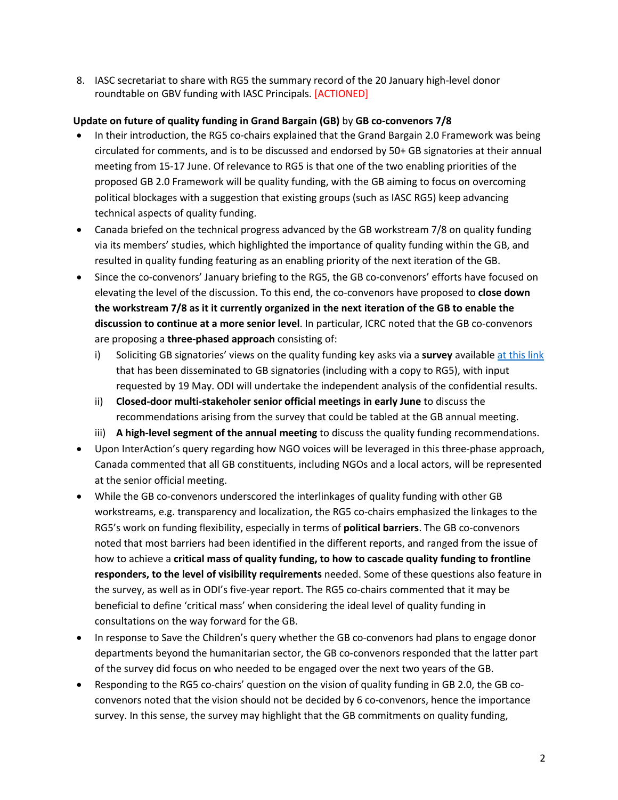8. IASC secretariat to share with RG5 the summary record of the 20 January high-level donor roundtable on GBV funding with IASC Principals. [ACTIONED]

## **Update on future of quality funding in Grand Bargain (GB)** by **GB co-convenors 7/8**

- In their introduction, the RG5 co-chairs explained that the Grand Bargain 2.0 Framework was being circulated for comments, and is to be discussed and endorsed by 50+ GB signatories at their annual meeting from 15-17 June. Of relevance to RG5 is that one of the two enabling priorities of the proposed GB 2.0 Framework will be quality funding, with the GB aiming to focus on overcoming political blockages with a suggestion that existing groups (such as IASC RG5) keep advancing technical aspects of quality funding.
- Canada briefed on the technical progress advanced by the GB workstream 7/8 on quality funding via its members' studies, which highlighted the importance of quality funding within the GB, and resulted in quality funding featuring as an enabling priority of the next iteration of the GB.
- Since the co-convenors' January briefing to the RG5, the GB co-convenors' efforts have focused on elevating the level of the discussion. To this end, the co-convenors have proposed to **close down the workstream 7/8 as it it currently organized in the next iteration of the GB to enable the discussion to continue at a more senior level**. In particular, ICRC noted that the GB co-convenors are proposing a **three-phased approach** consisting of:
	- i) Soliciting GB signatories' views on the quality funding key asks via a **survey** available at this link that has been disseminated to GB signatories (including with a copy to RG5), with input requested by 19 May. ODI will undertake the independent analysis of the confidential results.
	- ii) **Closed-door multi-stakeholer senior official meetings in early June** to discuss the recommendations arising from the survey that could be tabled at the GB annual meeting.
	- iii) **A high-level segment of the annual meeting** to discuss the quality funding recommendations.
- Upon InterAction's query regarding how NGO voices will be leveraged in this three-phase approach, Canada commented that all GB constituents, including NGOs and a local actors, will be represented at the senior official meeting.
- While the GB co-convenors underscored the interlinkages of quality funding with other GB workstreams, e.g. transparency and localization, the RG5 co-chairs emphasized the linkages to the RG5's work on funding flexibility, especially in terms of **political barriers**. The GB co-convenors noted that most barriers had been identified in the different reports, and ranged from the issue of how to achieve a **critical mass of quality funding, to how to cascade quality funding to frontline responders, to the level of visibility requirements** needed. Some of these questions also feature in the survey, as well as in ODI's five-year report. The RG5 co-chairs commented that it may be beneficial to define 'critical mass' when considering the ideal level of quality funding in consultations on the way forward for the GB.
- In response to Save the Children's query whether the GB co-convenors had plans to engage donor departments beyond the humanitarian sector, the GB co-convenors responded that the latter part of the survey did focus on who needed to be engaged over the next two years of the GB.
- Responding to the RG5 co-chairs' question on the vision of quality funding in GB 2.0, the GB coconvenors noted that the vision should not be decided by 6 co-convenors, hence the importance survey. In this sense, the survey may highlight that the GB commitments on quality funding,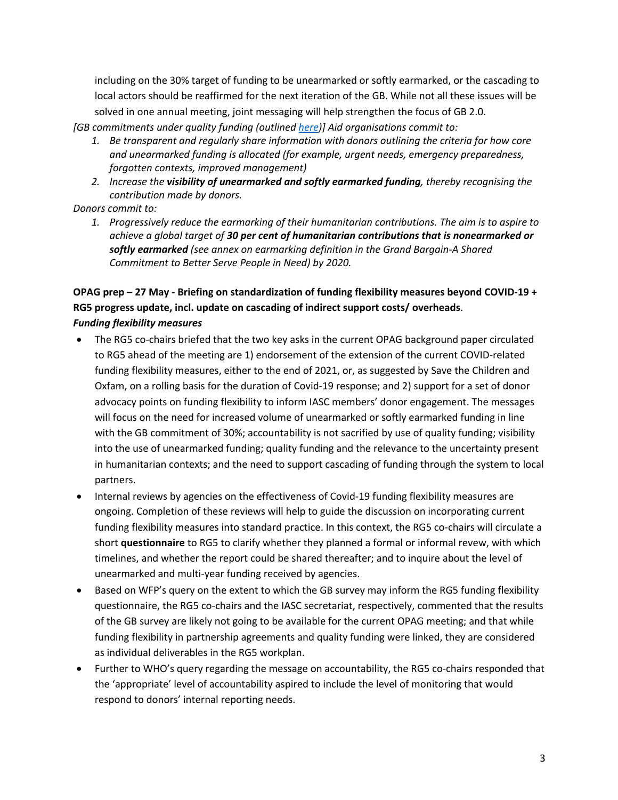including on the 30% target of funding to be unearmarked or softly earmarked, or the cascading to local actors should be reaffirmed for the next iteration of the GB. While not all these issues will be solved in one annual meeting, joint messaging will help strengthen the focus of GB 2.0.

*[GB commitments under quality funding (outlined here)] Aid organisations commit to:*

- *1. Be transparent and regularly share information with donors outlining the criteria for how core and unearmarked funding is allocated (for example, urgent needs, emergency preparedness, forgotten contexts, improved management)*
- *2. Increase the visibility of unearmarked and softly earmarked funding, thereby recognising the contribution made by donors.*
- *Donors commit to:*
	- *1. Progressively reduce the earmarking of their humanitarian contributions. The aim is to aspire to achieve a global target of 30 per cent of humanitarian contributions that is nonearmarked or softly earmarked (see annex on earmarking definition in the Grand Bargain-A Shared Commitment to Better Serve People in Need) by 2020.*

# **OPAG prep – 27 May - Briefing on standardization of funding flexibility measures beyond COVID-19 + RG5 progress update, incl. update on cascading of indirect support costs/ overheads**. *Funding flexibility measures*

- The RG5 co-chairs briefed that the two key asks in the current OPAG background paper circulated to RG5 ahead of the meeting are 1) endorsement of the extension of the current COVID-related funding flexibility measures, either to the end of 2021, or, as suggested by Save the Children and Oxfam, on a rolling basis for the duration of Covid-19 response; and 2) support for a set of donor advocacy points on funding flexibility to inform IASC members' donor engagement. The messages will focus on the need for increased volume of unearmarked or softly earmarked funding in line with the GB commitment of 30%; accountability is not sacrified by use of quality funding; visibility into the use of unearmarked funding; quality funding and the relevance to the uncertainty present in humanitarian contexts; and the need to support cascading of funding through the system to local partners.
- Internal reviews by agencies on the effectiveness of Covid-19 funding flexibility measures are ongoing. Completion of these reviews will help to guide the discussion on incorporating current funding flexibility measures into standard practice. In this context, the RG5 co-chairs will circulate a short **questionnaire** to RG5 to clarify whether they planned a formal or informal revew, with which timelines, and whether the report could be shared thereafter; and to inquire about the level of unearmarked and multi-year funding received by agencies.
- Based on WFP's query on the extent to which the GB survey may inform the RG5 funding flexibility questionnaire, the RG5 co-chairs and the IASC secretariat, respectively, commented that the results of the GB survey are likely not going to be available for the current OPAG meeting; and that while funding flexibility in partnership agreements and quality funding were linked, they are considered as individual deliverables in the RG5 workplan.
- Further to WHO's query regarding the message on accountability, the RG5 co-chairs responded that the 'appropriate' level of accountability aspired to include the level of monitoring that would respond to donors' internal reporting needs.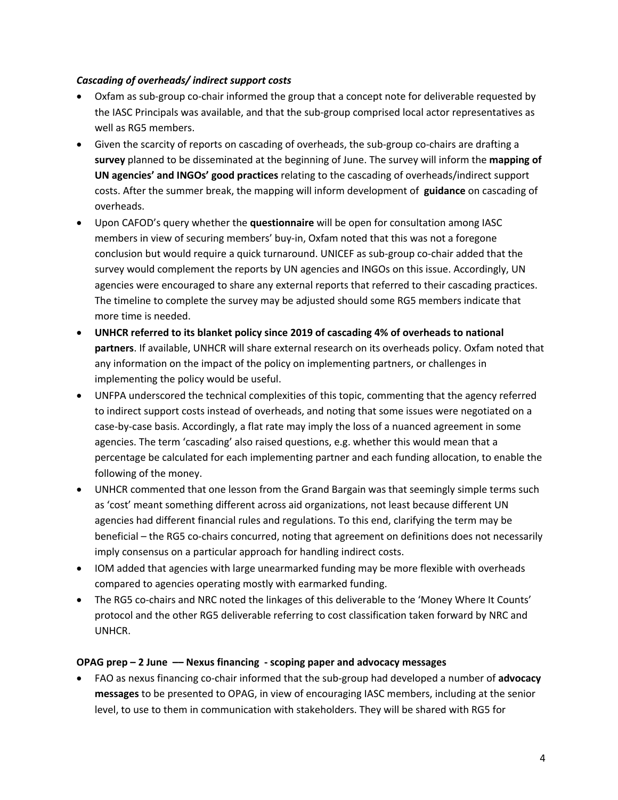### *Cascading of overheads/ indirect support costs*

- Oxfam as sub-group co-chair informed the group that a concept note for deliverable requested by the IASC Principals was available, and that the sub-group comprised local actor representatives as well as RG5 members.
- Given the scarcity of reports on cascading of overheads, the sub-group co-chairs are drafting a **survey** planned to be disseminated at the beginning of June. The survey will inform the **mapping of UN agencies' and INGOs' good practices** relating to the cascading of overheads/indirect support costs. After the summer break, the mapping will inform development of **guidance** on cascading of overheads.
- Upon CAFOD's query whether the **questionnaire** will be open for consultation among IASC members in view of securing members' buy-in, Oxfam noted that this was not a foregone conclusion but would require a quick turnaround. UNICEF as sub-group co-chair added that the survey would complement the reports by UN agencies and INGOs on this issue. Accordingly, UN agencies were encouraged to share any external reports that referred to their cascading practices. The timeline to complete the survey may be adjusted should some RG5 members indicate that more time is needed.
- **UNHCR referred to its blanket policy since 2019 of cascading 4% of overheads to national partners**. If available, UNHCR will share external research on its overheads policy. Oxfam noted that any information on the impact of the policy on implementing partners, or challenges in implementing the policy would be useful.
- UNFPA underscored the technical complexities of this topic, commenting that the agency referred to indirect support costs instead of overheads, and noting that some issues were negotiated on a case-by-case basis. Accordingly, a flat rate may imply the loss of a nuanced agreement in some agencies. The term 'cascading' also raised questions, e.g. whether this would mean that a percentage be calculated for each implementing partner and each funding allocation, to enable the following of the money.
- UNHCR commented that one lesson from the Grand Bargain was that seemingly simple terms such as 'cost' meant something different across aid organizations, not least because different UN agencies had different financial rules and regulations. To this end, clarifying the term may be beneficial – the RG5 co-chairs concurred, noting that agreement on definitions does not necessarily imply consensus on a particular approach for handling indirect costs.
- IOM added that agencies with large unearmarked funding may be more flexible with overheads compared to agencies operating mostly with earmarked funding.
- The RG5 co-chairs and NRC noted the linkages of this deliverable to the 'Money Where It Counts' protocol and the other RG5 deliverable referring to cost classification taken forward by NRC and UNHCR.

## **OPAG prep – 2 June –– Nexus financing - scoping paper and advocacy messages**

• FAO as nexus financing co-chair informed that the sub-group had developed a number of **advocacy messages** to be presented to OPAG, in view of encouraging IASC members, including at the senior level, to use to them in communication with stakeholders. They will be shared with RG5 for